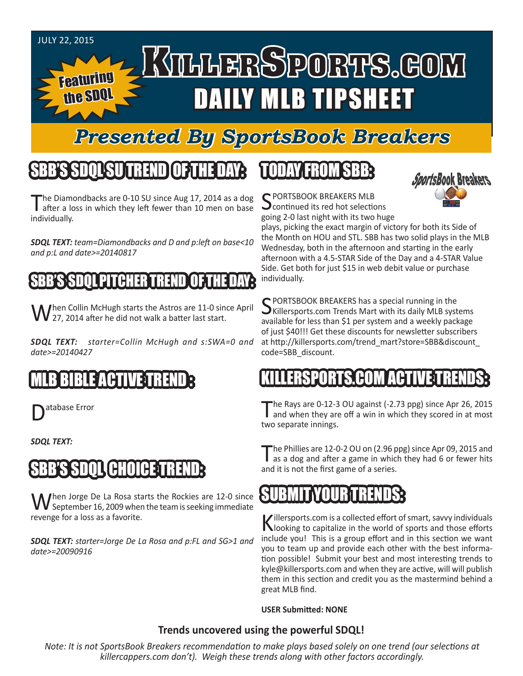#### JULY 22, 2015 KTLLERSPORTS.GOM Featuring DAILY MLB TIPSHEET the SDQL

## *Presented By SportsBook Breakers*

## SBB'S SDQLSU TREND OF THE DAY:

The Diamondbacks are 0-10 SU since Aug 17, 2014 as a dog<br>after a loss in which they left fewer than 10 men on base individually.

*SDQL TEXT: team=Diamondbacks and D and p:left on base<10 and p:L and date>=20140817*

## PITCHER TREND

When Collin McHugh starts the Astros are 11-0 since April<br>W 27, 2014 after he did not walk a batter last start.

*SDQL TEXT: starter=Collin McHugh and s:SWA=0 and date>=20140427*

### MLB BIBLE ACTIVE TREND :

atabase Error

*SDQL TEXT:* 

## **CHOICE:**

When Jorge De La Rosa starts the Rockies are 12-0 since<br>September 16, 2009 when the team is seeking immediate revenge for a loss as a favorite.

*SDQL TEXT: starter=Jorge De La Rosa and p:FL and SG>1 and date>=20090916*

## TODAY FROM SBB:



C PORTSBOOK BREAKERS MLB **J** continued its red hot selections going 2-0 last night with its two huge

plays, picking the exact margin of victory for both its Side of the Month on HOU and STL. SBB has two solid plays in the MLB Wednesday, both in the afternoon and starting in the early afternoon with a 4.5-STAR Side of the Day and a 4-STAR Value Side. Get both for just \$15 in web debit value or purchase individually.

SPORTSBOOK BREAKERS has a special running in the<br>SKillersports.com Trends Mart with its daily MLB systems available for less than \$1 per system and a weekly package of just \$40!!! Get these discounts for newsletter subscribers at http://killersports.com/trend\_mart?store=SBB&discount\_ code=SBB\_discount.

#### LERSPORTS.COM ACTI

The Rays are 0-12-3 OU against (-2.73 ppg) since Apr 26, 2015 I and when they are off a win in which they scored in at most two separate innings.

The Phillies are 12-0-2 OU on (2.96 ppg) since Apr 09, 2015 and as a dog and after a game in which they had 6 or fewer hits and it is not the first game of a series.

### SUBMIT YOUR TRENDS:

Killersports.com is a collected effort of smart, savvy individuals<br>Nooking to capitalize in the world of sports and those efforts include you! This is a group effort and in this section we want you to team up and provide each other with the best information possible! Submit your best and most interesting trends to kyle@killersports.com and when they are active, will will publish them in this section and credit you as the mastermind behind a great MLB find.

**USER Submitted: NONE**

#### **Trends uncovered using the powerful SDQL!**

*Note: It is not SportsBook Breakers recommendation to make plays based solely on one trend (our selections at killercappers.com don't). Weigh these trends along with other factors accordingly.*